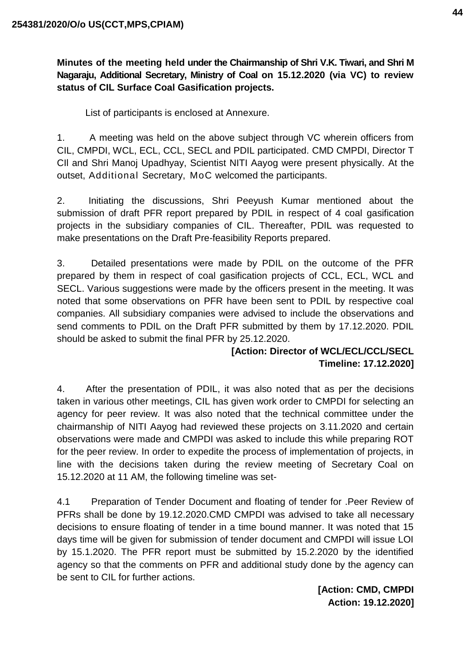**Minutes of the meeting held under the Chairmanship of Shri V.K. Tiwari, and Shri M Nagaraju, Additional Secretary, Ministry of Coal on 15.12.2020 (via VC) to review status of CIL Surface Coal Gasification projects.**

List of participants is enclosed at Annexure.

1. A meeting was held on the above subject through VC wherein officers from CIL, CMPDI, WCL, ECL, CCL, SECL and PDIL participated. CMD CMPDI, Director T CIl and Shri Manoj Upadhyay, Scientist NITI Aayog were present physically. At the outset, Additional Secretary, MoC welcomed the participants.

2. Initiating the discussions, Shri Peeyush Kumar mentioned about the submission of draft PFR report prepared by PDIL in respect of 4 coal gasification projects in the subsidiary companies of CIL. Thereafter, PDIL was requested to make presentations on the Draft Pre-feasibility Reports prepared.

3. Detailed presentations were made by PDIL on the outcome of the PFR prepared by them in respect of coal gasification projects of CCL, ECL, WCL and SECL. Various suggestions were made by the officers present in the meeting. It was noted that some observations on PFR have been sent to PDIL by respective coal companies. All subsidiary companies were advised to include the observations and send comments to PDIL on the Draft PFR submitted by them by 17.12.2020. PDIL should be asked to submit the final PFR by 25.12.2020.

# **[Action: Director of WCL/ECL/CCL/SECL Timeline: 17.12.2020]**

4. After the presentation of PDIL, it was also noted that as per the decisions taken in various other meetings, CIL has given work order to CMPDI for selecting an agency for peer review. It was also noted that the technical committee under the chairmanship of NITI Aayog had reviewed these projects on 3.11.2020 and certain observations were made and CMPDI was asked to include this while preparing ROT for the peer review. In order to expedite the process of implementation of projects, in line with the decisions taken during the review meeting of Secretary Coal on 15.12.2020 at 11 AM, the following timeline was set-

4.1 Preparation of Tender Document and floating of tender for .Peer Review of PFRs shall be done by 19.12.2020.CMD CMPDI was advised to take all necessary decisions to ensure floating of tender in a time bound manner. It was noted that 15 days time will be given for submission of tender document and CMPDI will issue LOI by 15.1.2020. The PFR report must be submitted by 15.2.2020 by the identified agency so that the comments on PFR and additional study done by the agency can be sent to CIL for further actions.

> **[Action: CMD, CMPDI Action: 19.12.2020]**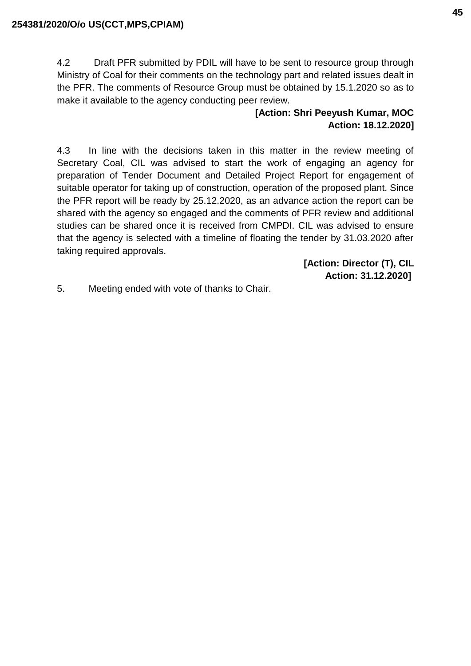4.2 Draft PFR submitted by PDIL will have to be sent to resource group through Ministry of Coal for their comments on the technology part and related issues dealt in the PFR. The comments of Resource Group must be obtained by 15.1.2020 so as to make it available to the agency conducting peer review.

### **[Action: Shri Peeyush Kumar, MOC Action: 18.12.2020]**

4.3 In line with the decisions taken in this matter in the review meeting of Secretary Coal, CIL was advised to start the work of engaging an agency for preparation of Tender Document and Detailed Project Report for engagement of suitable operator for taking up of construction, operation of the proposed plant. Since the PFR report will be ready by 25.12.2020, as an advance action the report can be shared with the agency so engaged and the comments of PFR review and additional studies can be shared once it is received from CMPDI. CIL was advised to ensure that the agency is selected with a timeline of floating the tender by 31.03.2020 after taking required approvals.

> **[Action: Director (T), CIL Action: 31.12.2020]**

5. Meeting ended with vote of thanks to Chair.